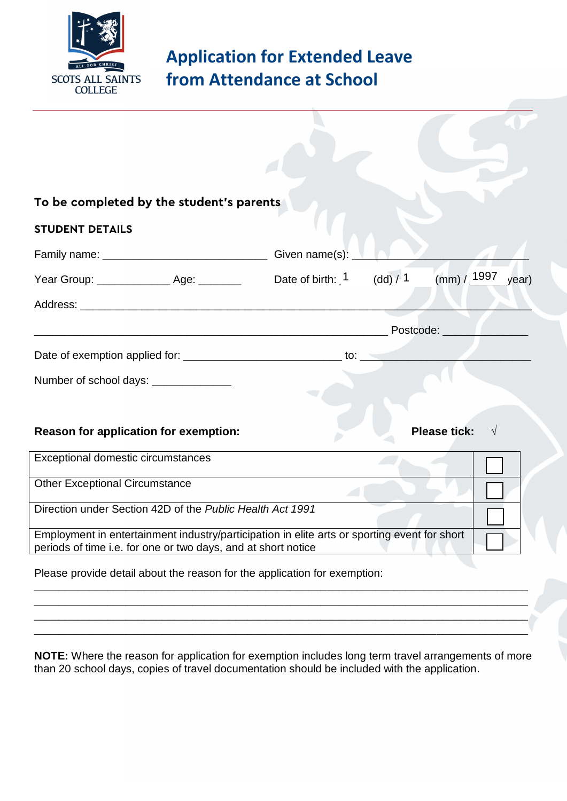

## **Application for Extended Leave from Attendance at School**

| To be completed by the student's parents                                                                                                                      |                     |          |                      |
|---------------------------------------------------------------------------------------------------------------------------------------------------------------|---------------------|----------|----------------------|
| <b>STUDENT DETAILS</b>                                                                                                                                        |                     |          |                      |
|                                                                                                                                                               | Given name(s): $\_$ |          |                      |
| Year Group: ____________________ Age: _________                                                                                                               | Date of birth: $1$  | (dd) / 1 | (mm) / 1997<br>year) |
|                                                                                                                                                               |                     |          |                      |
|                                                                                                                                                               | Postcode: _______   |          |                      |
|                                                                                                                                                               |                     |          |                      |
| Number of school days: _______________                                                                                                                        |                     |          |                      |
|                                                                                                                                                               |                     |          |                      |
| <b>Reason for application for exemption:</b>                                                                                                                  |                     |          | <b>Please tick:</b>  |
| Exceptional domestic circumstances                                                                                                                            |                     |          |                      |
| <b>Other Exceptional Circumstance</b>                                                                                                                         |                     |          |                      |
| Direction under Section 42D of the Public Health Act 1991                                                                                                     |                     |          |                      |
| Employment in entertainment industry/participation in elite arts or sporting event for short<br>periods of time i.e. for one or two days, and at short notice |                     |          |                      |
| Please provide detail about the reason for the application for exemption:                                                                                     |                     |          |                      |
|                                                                                                                                                               |                     |          |                      |
|                                                                                                                                                               |                     |          |                      |
|                                                                                                                                                               |                     |          |                      |

**NOTE:** Where the reason for application for exemption includes long term travel arrangements of more than 20 school days, copies of travel documentation should be included with the application.